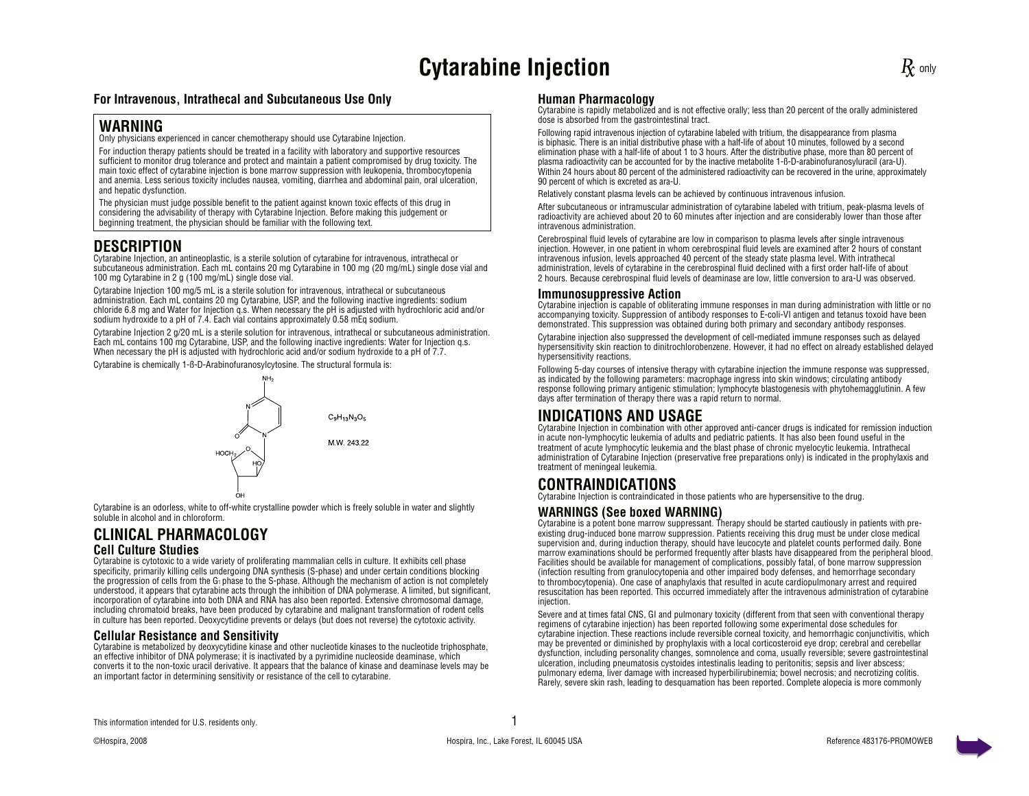# **Cytarabine Injection Cytarabine Injection**

#### **For Intravenous, Intrathecal and Subcutaneous Use Only**

### **WARNING**

Only physicians experienced in cancer chemotherapy should use Cytarabine Injection.

For induction therapy patients should be treated in a facility with laboratory and supportive resources sufficient to monitor drug tolerance and protect and maintain a patient compromised by drug toxicity. The main toxic effect of cytarabine injection is bone marrow suppression with leukopenia, thrombocytopenia and anemia. Less serious toxicity includes nausea, vomiting, diarrhea and abdominal pain, oral ulceration, and hepatic dysfunction.

The physician must judge possible benefit to the patient against known toxic effects of this drug in considering the advisability of therapy with Cytarabine Injection. Before making this judgement or beginning treatment, the physician should be familiar with the following text.

## **DESCRIPTION**

Cytarabine Injection, an antineoplastic, is a sterile solution of cytarabine for intravenous, intrathecal or subcutaneous administration. Each mL contains 20 mg Cytarabine in 100 mg (20 mg/mL) single dose vial and 100 mg Cytarabine in 2 g (100 mg/mL) single dose vial.

Cytarabine Injection 100 mg/5 mL is a sterile solution for intravenous, intrathecal or subcutaneous administration. Each mL contains 20 mg Cytarabine, USP, and the following inactive ingredients: sodium chloride 6.8 mg and Water for Injection q.s. When necessary the pH is adjusted with hydrochloric acid and/or sodium hydroxide to a pH of 7.4. Each vial contains approximately 0.58 mEq sodium.

Cytarabine Injection 2 g/20 mL is a sterile solution for intravenous, intrathecal or subcutaneous administration. Each mL contains 100 mg Cytarabine, USP, and the following inactive ingredients: Water for Injection q.s. When necessary the pH is adjusted with hydrochloric acid and/or sodium hydroxide to a pH of 7.7.

Cytarabine is chemically 1-ß-D-Arabinofuranosylcytosine. The structural formula is:



Cytarabine is an odorless, white to off-white crystalline powder which is freely soluble in water and slightly soluble in alcohol and in chloroform.

# **CLINICAL PHARMACOLOGY**

### **Cell Culture Studies**

Cytarabine is cytotoxic to a wide variety of proliferating mammalian cells in culture. It exhibits cell phase specificity, primarily killing cells undergoing DNA synthesis (S-phase) and under certain conditions blocking the progression of cells from the G1 phase to the S-phase. Although the mechanism of action is not completely understood, it appears that cytarabine acts through the inhibition of DNA polymerase. A limited, but significant, incorporation of cytarabine into both DNA and RNA has also been reported. Extensive chromosomal damage, including chromatoid breaks, have been produced by cytarabine and malignant transformation of rodent cells in culture has been reported. Deoxycytidine prevents or delays (but does not reverse) the cytotoxic activity.

#### **Cellular Resistance and Sensitivity**

Cytarabine is metabolized by deoxycytidine kinase and other nucleotide kinases to the nucleotide triphosphate, an effective inhibitor of DNA polymerase; it is inactivated by a pyrimidine nucleoside deaminase, which converts it to the non-toxic uracil derivative. It appears that the balance of kinase and deaminase levels may be an important factor in determining sensitivity or resistance of the cell to cytarabine.

#### **Human Pharmacology**

Cytarabine is rapidly metabolized and is not effective orally; less than 20 percent of the orally administered dose is absorbed from the gastrointestinal tract.

Following rapid intravenous injection of cytarabine labeled with tritium, the disappearance from plasma is biphasic. There is an initial distributive phase with a half-life of about 10 minutes, followed by a second elimination phase with a half-life of about 1 to 3 hours. After the distributive phase, more than 80 percent of plasma radioactivity can be accounted for by the inactive metabolite 1-ß-D-arabinofuranosyluracil (ara-U). Within 24 hours about 80 percent of the administered radioactivity can be recovered in the urine, approximately 90 percent of which is excreted as ara-U.

Relatively constant plasma levels can be achieved by continuous intravenous infusion.

After subcutaneous or intramuscular administration of cytarabine labeled with tritium, peak-plasma levels of radioactivity are achieved about 20 to 60 minutes after injection and are considerably lower than those after intravenous administration.

Cerebrospinal fluid levels of cytarabine are low in comparison to plasma levels after single intravenous injection. However, in one patient in whom cerebrospinal fluid levels are examined after 2 hours of constant intravenous infusion, levels approached 40 percent of the steady state plasma level. With intrathecal administration, levels of cytarabine in the cerebrospinal fluid declined with a first order half-life of about 2 hours. Because cerebrospinal fluid levels of deaminase are low, little conversion to ara-U was observed.

#### **Immunosuppressive Action**

Cytarabine injection is capable of obliterating immune responses in man during administration with little or no accompanying toxicity. Suppression of antibody responses to E-coli-VI antigen and tetanus toxoid have been demonstrated. This suppression was obtained during both primary and secondary antibody responses.

Cytarabine injection also suppressed the development of cell-mediated immune responses such as delayed hypersensitivity skin reaction to dinitrochlorobenzene. However, it had no effect on already established delayed hypersensitivity reactions.

Following 5-day courses of intensive therapy with cytarabine injection the immune response was suppressed, as indicated by the following parameters: macrophage ingress into skin windows; circulating antibody response following primary antigenic stimulation; lymphocyte blastogenesis with phytohemagglutinin. A few days after termination of therapy there was a rapid return to normal.

## **INDICATIONS AND USAGE**

Cytarabine Injection in combination with other approved anti-cancer drugs is indicated for remission induction in acute non-lymphocytic leukemia of adults and pediatric patients. It has also been found useful in the treatment of acute lymphocytic leukemia and the blast phase of chronic myelocytic leukemia. Intrathecal administration of Cytarabine Injection (preservative free preparations only) is indicated in the prophylaxis and treatment of meningeal leukemia.

## **CONTRAINDICATIONS**

Cytarabine Injection is contraindicated in those patients who are hypersensitive to the drug.

#### **WARNINGS (See boxed WARNING)**

Cytarabine is a potent bone marrow suppressant. Therapy should be started cautiously in patients with preexisting drug-induced bone marrow suppression. Patients receiving this drug must be under close medical supervision and, during induction therapy, should have leucocyte and platelet counts performed daily. Bone marrow examinations should be performed frequently after blasts have disappeared from the peripheral blood. Facilities should be available for management of complications, possibly fatal, of bone marrow suppression (infection resulting from granulocytopenia and other impaired body defenses, and hemorrhage secondary to thrombocytopenia). One case of anaphylaxis that resulted in acute cardiopulmonary arrest and required resuscitation has been reported. This occurred immediately after the intravenous administration of cytarabine injection.

Severe and at times fatal CNS, GI and pulmonary toxicity (different from that seen with conventional therapy regimens of cytarabine injection) has been reported following some experimental dose schedules for cytarabine injection. These reactions include reversible corneal toxicity, and hemorrhagic conjunctivitis, which may be prevented or diminished by prophylaxis with a local corticosteroid eye drop; cerebral and cerebellar dysfunction, including personality changes, somnolence and coma, usually reversible; severe gastrointestinal ulceration, including pneumatosis cystoides intestinalis leading to peritonitis; sepsis and liver abscess; pulmonary edema, liver damage with increased hyperbilirubinemia; bowel necrosis; and necrotizing colitis. Rarely, severe skin rash, leading to desquamation has been reported. Complete alopecia is more commonly

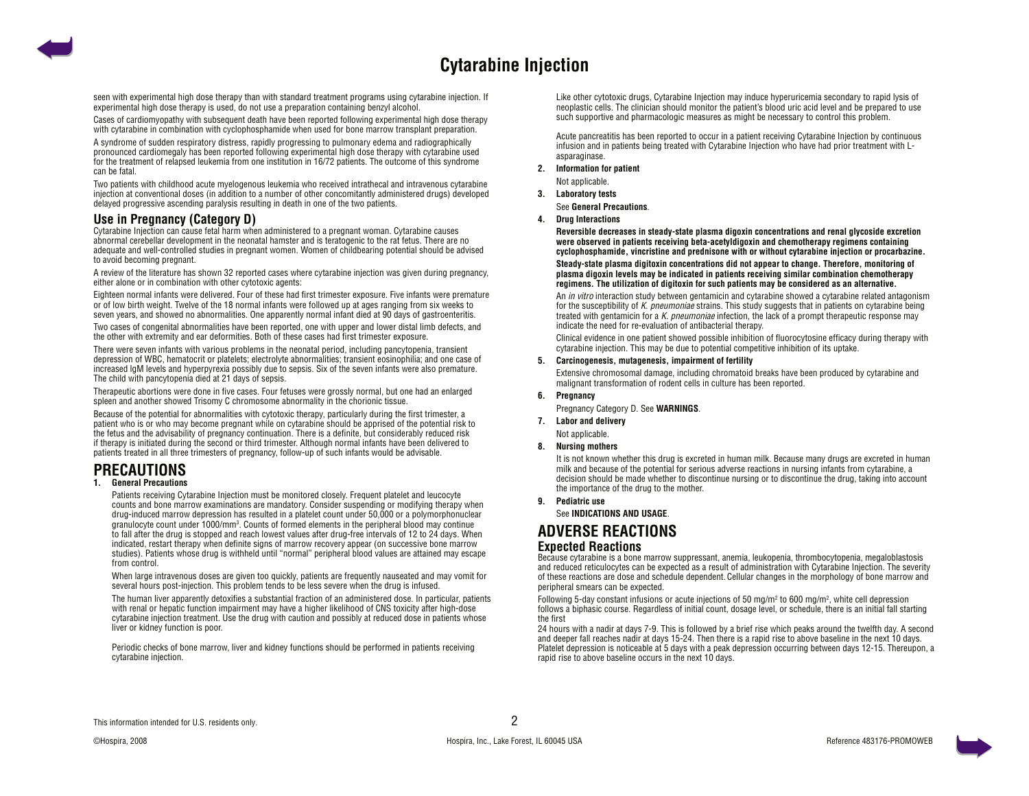

seen with experimental high dose therapy than with standard treatment programs using cytarabine injection. If experimental high dose therapy is used, do not use a preparation containing benzyl alcohol.

Cases of cardiomyopathy with subsequent death have been reported following experimental high dose therapy with cytarabine in combination with cyclophosphamide when used for bone marrow transplant preparation.

A syndrome of sudden respiratory distress, rapidly progressing to pulmonary edema and radiographically pronounced cardiomegaly has been reported following experimental high dose therapy with cytarabine used for the treatment of relapsed leukemia from one institution in 16/72 patients. The outcome of this syndrome can be fatal

Two patients with childhood acute myelogenous leukemia who received intrathecal and intravenous cytarabine injection at conventional doses (in addition to a number of other concomitantly administered drugs) developed delayed progressive ascending paralysis resulting in death in one of the two patients.

#### **Use in Pregnancy (Category D)**

Cytarabine Injection can cause fetal harm when administered to a pregnant woman. Cytarabine causes abnormal cerebellar development in the neonatal hamster and is teratogenic to the rat fetus. There are no adequate and well-controlled studies in pregnant women. Women of childbearing potential should be advised to avoid becoming pregnant.

A review of the literature has shown 32 reported cases where cytarabine injection was given during pregnancy, either alone or in combination with other cytotoxic agents:

Eighteen normal infants were delivered. Four of these had first trimester exposure. Five infants were premature or of low birth weight. Twelve of the 18 normal infants were followed up at ages ranging from six weeks to seven years, and showed no abnormalities. One apparently normal infant died at 90 days of gastroenteritis.

Two cases of congenital abnormalities have been reported, one with upper and lower distal limb defects, and the other with extremity and ear deformities. Both of these cases had first trimester exposure.

There were seven infants with various problems in the neonatal period, including pancytopenia, transient depression of WBC, hematocrit or platelets; electrolyte abnormalities; transient eosinophilia; and one case of increased lgM levels and hyperpyrexia possibly due to sepsis. Six of the seven infants were also premature. The child with pancytopenia died at 21 days of sepsis.

Therapeutic abortions were done in five cases. Four fetuses were grossly normal, but one had an enlarged spleen and another showed Trisomy C chromosome abnormality in the chorionic tissue.

Because of the potential for abnormalities with cytotoxic therapy, particularly during the first trimester, a patient who is or who may become pregnant while on cytarabine should be apprised of the potential risk to the fetus and the advisability of pregnancy continuation. There is a definite, but considerably reduced risk if therapy is initiated during the second or third trimester. Although normal infants have been delivered to patients treated in all three trimesters of pregnancy, follow-up of such infants would be advisable.

## **PRECAUTIONS**

#### **1. General Precautions**

 Patients receiving Cytarabine Injection must be monitored closely. Frequent platelet and leucocyte counts and bone marrow examinations are mandatory. Consider suspending or modifying therapy when drug-induced marrow depression has resulted in a platelet count under 50,000 or a polymorphonuclear granulocyte count under 1000/mm<sup>3</sup>. Counts of formed elements in the peripheral blood may continue to fall after the drug is stopped and reach lowest values after drug-free intervals of 12 to 24 days. When indicated, restart therapy when definite signs of marrow recovery appear (on successive bone marrow studies). Patients whose drug is withheld until "normal" peripheral blood values are attained may escape from control.

 When large intravenous doses are given too quickly, patients are frequently nauseated and may vomit for several hours post-injection. This problem tends to be less severe when the drug is infused.

 The human liver apparently detoxifies a substantial fraction of an administered dose. In particular, patients with renal or hepatic function impairment may have a higher likelihood of CNS toxicity after high-dose cytarabine injection treatment. Use the drug with caution and possibly at reduced dose in patients whose liver or kidney function is poor.

Periodic checks of bone marrow, liver and kidney functions should be performed in patients receiving cytarabine injection.

Like other cytotoxic drugs, Cytarabine Injection may induce hyperuricemia secondary to rapid lysis of neoplastic cells. The clinician should monitor the patient's blood uric acid level and be prepared to use such supportive and pharmacologic measures as might be necessary to control this problem.

Acute pancreatitis has been reported to occur in a patient receiving Cytarabine Injection by continuous infusion and in patients being treated with Cytarabine Injection who have had prior treatment with Lasparaginase.

- **2. Information for patient** Not applicable.
- **3. Laboratory tests**

See **General Precautions**.

**4. Drug Interactions**

 **Reversible decreases in steady-state plasma digoxin concentrations and renal glycoside excretion were observed in patients receiving beta-acetyldigoxin and chemotherapy regimens containing cyclophosphamide, vincristine and prednisone with or without cytarabine injection or procarbazine.**

#### **Steady-state plasma digitoxin concentrations did not appear to change. Therefore, monitoring of plasma digoxin levels may be indicated in patients receiving similar combination chemotherapy regimens. The utilization of digitoxin for such patients may be considered as an alternative.**

An *in vitro* interaction study between gentamicin and cytarabine showed a cytarabine related antagonism for the susceptibility of K. pneumoniae strains. This study suggests that in patients on cytarabine being treated with gentamic in for a K, pneumoniae infection, the lack of a prompt therapeutic response may indicate the need for re-evaluation of antibacterial therapy.

 Clinical evidence in one patient showed possible inhibition of fluorocytosine efficacy during therapy with cytarabine injection. This may be due to potential competitive inhibition of its uptake.

#### **5. Carcinogenesis, mutagenesis, impairment of fertility**

 Extensive chromosomal damage, including chromatoid breaks have been produced by cytarabine and malignant transformation of rodent cells in culture has been reported.

- **6. Pregnancy**
	- Pregnancy Category D. See **WARNINGS**.
- **7. Labor and delivery** Not applicable.

**8. Nursing mothers**

 It is not known whether this drug is excreted in human milk. Because many drugs are excreted in human milk and because of the potential for serious adverse reactions in nursing infants from cytarabine, a decision should be made whether to discontinue nursing or to discontinue the drug, taking into account the importance of the drug to the mother.

**9. Pediatric use**

See **INDICATIONS AND USAGE**.

## **ADVERSE REACTIONS**

#### **Expected Reactions**

Because cytarabine is a bone marrow suppressant, anemia, leukopenia, thrombocytopenia, megaloblastosis and reduced reticulocytes can be expected as a result of administration with Cytarabine Injection. The severity of these reactions are dose and schedule dependent. Cellular changes in the morphology of bone marrow and peripheral smears can be expected.

Following 5-day constant infusions or acute injections of 50 mg/m<sup>2</sup> to 600 mg/m<sup>2</sup>, white cell depression follows a biphasic course. Regardless of initial count, dosage level, or schedule, there is an initial fall starting the first

24 hours with a nadir at days 7-9. This is followed by a brief rise which peaks around the twelfth day. A second and deeper fall reaches nadir at days 15-24. Then there is a rapid rise to above baseline in the next 10 days. Platelet depression is noticeable at 5 days with a peak depression occurring between days 12-15. Thereupon, a rapid rise to above baseline occurs in the next 10 days.

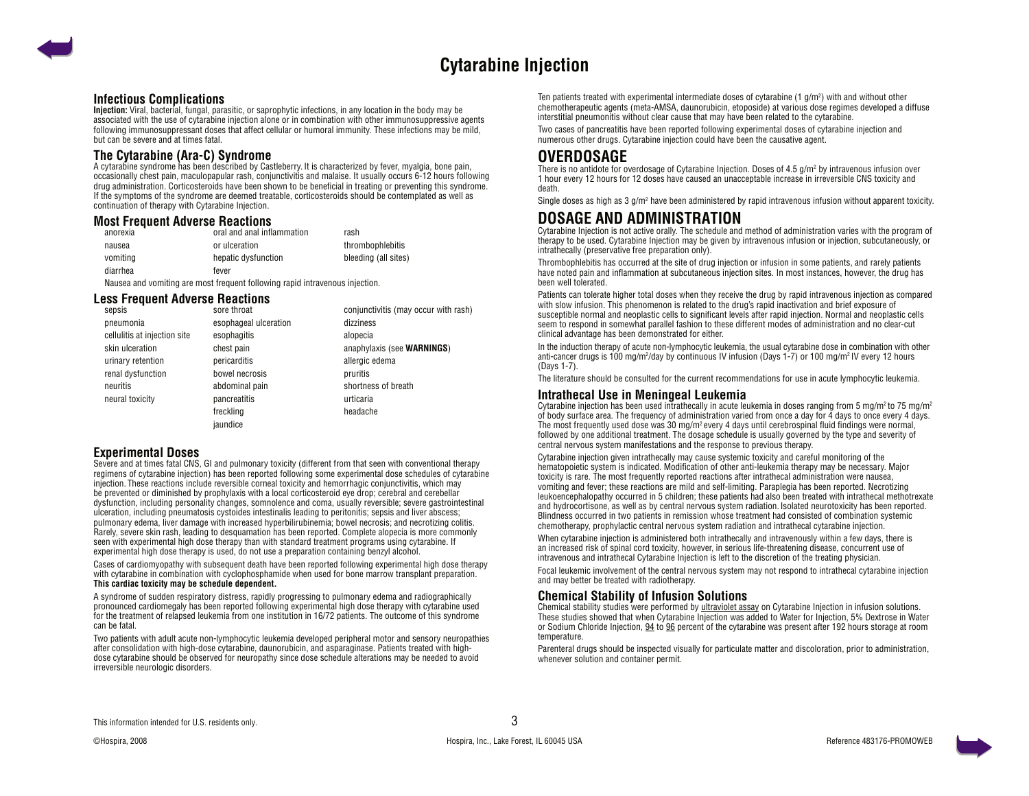## **Cytarabine Injection**

#### <span id="page-2-0"></span>**Infectious Complications**

**Injection:** Viral, bacterial, fungal, parasitic, or saprophytic infections, in any location in the body may be associated with the use of cytarabine injection alone or in combination with other immunosuppressive agents following immunosuppressant doses that affect cellular or humoral immunity. These infections may be mild, but can be severe and at times fatal.

#### **The Cytarabine (Ara-C) Syndrome**

A cytarabine syndrome has been described by Castleberry. It is characterized by fever, myalgia, bone pain, occasionally chest pain, maculopapular rash, conjunctivitis and malaise. It usually occurs 6-12 hours following drug administration. Corticosteroids have been shown to be beneficial in treating or preventing this syndrome. If the symptoms of the syndrome are deemed treatable, corticosteroids should be contemplated as well as continuation of therapy with Cytarabine Injection.

#### **Most Frequent Adverse Reactions**

| anorexia | oral and anal inflammation | rash                 |
|----------|----------------------------|----------------------|
| nausea   | or ulceration              | thrombophlebitis     |
| vomiting | hepatic dysfunction        | bleeding (all sites) |
| diarrhea | fever                      |                      |

Nausea and vomiting are most frequent following rapid intravenous injection.

#### **Less Frequent Adverse Reactions**

| sepsis                       | sore throat           | conjunctivitis (may occur with rash) |
|------------------------------|-----------------------|--------------------------------------|
| pneumonia                    | esophageal ulceration | dizziness                            |
| cellulitis at injection site | esophagitis           | alopecia                             |
| skin ulceration              | chest pain            | anaphylaxis (see WARNINGS)           |
| urinary retention            | pericarditis          | allergic edema                       |
| renal dysfunction            | bowel necrosis        | pruritis                             |
| neuritis                     | abdominal pain        | shortness of breath                  |
| neural toxicity              | pancreatitis          | urticaria                            |
|                              | freckling             | headache                             |
|                              | iaundice              |                                      |

#### **Experimental Doses**

Severe and at times fatal CNS, GI and pulmonary toxicity (different from that seen with conventional therapy regimens of cytarabine injection) has been reported following some experimental dose schedules of cytarabine injection. These reactions include reversible corneal toxicity and hemorrhagic conjunctivitis, which may be prevented or diminished by prophylaxis with a local corticosteroid eye drop; cerebral and cerebellar dysfunction, including personality changes, somnolence and coma, usually reversible; severe gastrointestinal ulceration, including pneumatosis cystoides intestinalis leading to peritonitis; sepsis and liver abscess; pulmonary edema, liver damage with increased hyperbilirubinemia; bowel necrosis; and necrotizing colitis. Rarely, severe skin rash, leading to desquamation has been reported. Complete alopecia is more commonly seen with experimental high dose therapy than with standard treatment programs using cytarabine. If experimental high dose therapy is used, do not use a preparation containing benzyl alcohol.

Cases of cardiomyopathy with subsequent death have been reported following experimental high dose therapy with cyclophosphamide when used for bone marrow transplant preparation. **This cardiac toxicity may be schedule dependent.**

A syndrome of sudden respiratory distress, rapidly progressing to pulmonary edema and radiographically pronounced cardiomegaly has been reported following experimental high dose therapy with cytarabine used for the treatment of relapsed leukemia from one institution in 16/72 patients. The outcome of this syndrome can be fatal.

Two patients with adult acute non-lymphocytic leukemia developed peripheral motor and sensory neuropathies after consolidation with high-dose cytarabine, daunorubicin, and asparaginase. Patients treated with highdose cytarabine should be observed for neuropathy since dose schedule alterations may be needed to avoid irreversible neurologic disorders.

Ten patients treated with experimental intermediate doses of cytarabine  $(1 \text{ g/m}^2)$  with and without other chemotherapeutic agents (meta-AMSA, daunorubicin, etoposide) at various dose regimes developed a diffuse interstitial pneumonitis without clear cause that may have been related to the cytarabine.

Two cases of pancreatitis have been reported following experimental doses of cytarabine injection and numerous other drugs. Cytarabine injection could have been the causative agent.

## **OVERDOSAGE**

There is no antidote for overdosage of Cytarabine Injection. Doses of 4.5 g/m² by intravenous infusion over 1 hour every 12 hours for 12 doses have caused an unacceptable increase in irreversible CNS toxicity and death.

Single doses as high as 3 g/m<sup>2</sup> have been administered by rapid intravenous infusion without apparent toxicity.

## **DOSAGE AND ADMINISTRATION**

Cytarabine Injection is not active orally. The schedule and method of administration varies with the program of therapy to be used. Cytarabine Injection may be given by intravenous infusion or injection, subcutaneously, or intrathecally (preservative free preparation only).

Thrombophlebitis has occurred at the site of drug injection or infusion in some patients, and rarely patients have noted pain and inflammation at subcutaneous injection sites. In most instances, however, the drug has been well tolerated.

Patients can tolerate higher total doses when they receive the drug by rapid intravenous injection as compared with slow infusion. This phenomenon is related to the drug's rapid inactivation and brief exposure of susceptible normal and neoplastic cells to significant levels after rapid injection. Normal and neoplastic cells seem to respond in somewhat parallel fashion to these different modes of administration and no clear-cut clinical advantage has been demonstrated for either.

In the induction therapy of acute non-lymphocytic leukemia, the usual cytarabine dose in combination with other anti-cancer drugs is 100 mg/m²/day by continuous IV infusion (Days 1-7) or 100 mg/m² IV every 12 hours (Days 1-7).

The literature should be consulted for the current recommendations for use in acute lymphocytic leukemia.

#### **Intrathecal Use in Meningeal Leukemia**

Cytarabine injection has been used intrathecally in acute leukemia in doses ranging from 5 mg/m<sup>2</sup> to 75 mg/m<sup>2</sup> of body surface area. The frequency of administration varied from once a day for 4 days to once every 4 days. The most frequently used dose was 30 mg/m2 every 4 days until cerebrospinal fluid findings were normal, followed by one additional treatment. The dosage schedule is usually governed by the type and severity of central nervous system manifestations and the response to previous therapy.

Cytarabine injection given intrathecally may cause systemic toxicity and careful monitoring of the hematopoietic system is indicated. Modification of other anti-leukemia therapy may be necessary. Major toxicity is rare. The most frequently reported reactions after intrathecal administration were nausea, vomiting and fever; these reactions are mild and self-limiting. Paraplegia has been reported. Necrotizing leukoencephalopathy occurred in 5 children; these patients had also been treated with intrathecal methotrexate and hydrocortisone, as well as by central nervous system radiation. Isolated neurotoxicity has been reported. Blindness occurred in two patients in remission whose treatment had consisted of combination systemic chemotherapy, prophylactic central nervous system radiation and intrathecal cytarabine injection.

When cytarabine injection is administered both intrathecally and intravenously within a few days, there is an increased risk of spinal cord toxicity, however, in serious life-threatening disease, concurrent use of intravenous and intrathecal Cytarabine Injection is left to the discretion of the treating physician.

Focal leukemic involvement of the central nervous system may not respond to intrathecal cytarabine injection and may better be treated with radiotherapy.

#### **Chemical Stability of Infusion Solutions**

Chemical stability studies were performed by ultraviolet assay on Cytarabine Injection in infusion solutions. These studies showed that when Cytarabine Injection was added to Water for Injection, 5% Dextrose in Water or Sodium Chloride Injection, 94 to 96 percent of the cytarabine was present after 192 hours storage at room temperature.

Parenteral drugs should be inspected visually for particulate matter and discoloration, prior to administration, whenever solution and container permit.